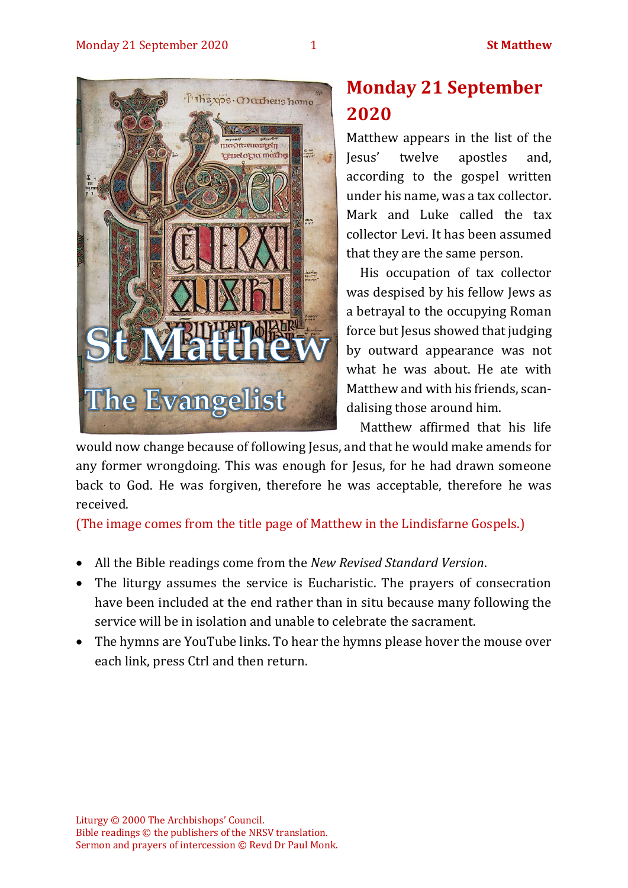

# **Monday 21 September 2020**

Matthew appears in the list of the Jesus' twelve apostles and, according to the gospel written under his name, was a tax collector. Mark and Luke called the tax collector Levi. It has been assumed that they are the same person.

His occupation of tax collector was despised by his fellow Jews as a betrayal to the occupying Roman force but Jesus showed that judging by outward appearance was not what he was about. He ate with Matthew and with his friends, scandalising those around him.

Matthew affirmed that his life

would now change because of following Jesus, and that he would make amends for any former wrongdoing. This was enough for Jesus, for he had drawn someone back to God. He was forgiven, therefore he was acceptable, therefore he was received.

(The image comes from the title page of Matthew in the Lindisfarne Gospels.)

- All the Bible readings come from the *New Revised Standard Version*.
- The liturgy assumes the service is Eucharistic. The prayers of consecration have been included at the end rather than in situ because many following the service will be in isolation and unable to celebrate the sacrament.
- The hymns are YouTube links. To hear the hymns please hover the mouse over each link, press Ctrl and then return.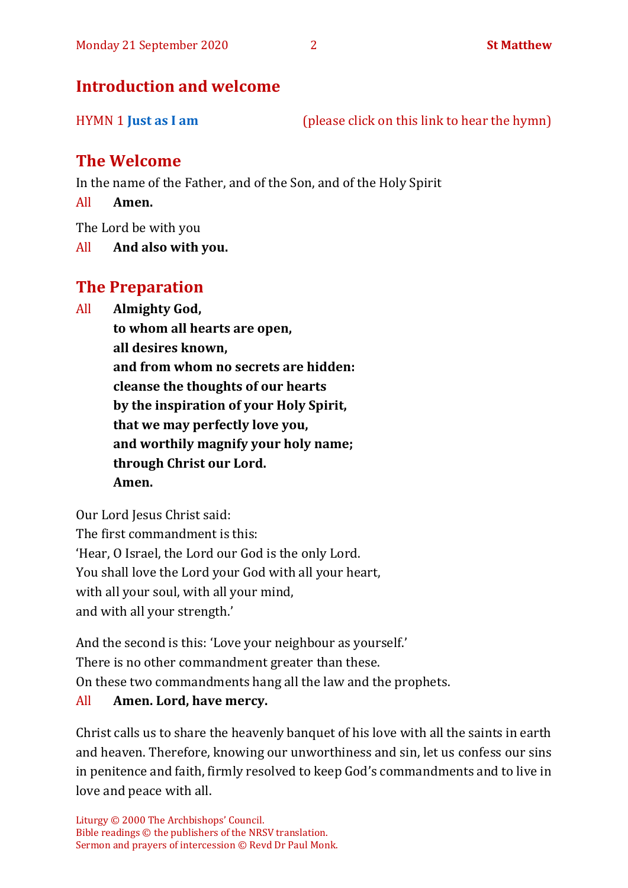# **Introduction and welcome**

HYMN 1 **[Just as I am](https://www.youtube.com/watch?v=k6nNKF-sscI)** (please click on this link to hear the hymn)

# **The Welcome**

In the name of the Father, and of the Son, and of the Holy Spirit

All **Amen.**

The Lord be with you

All **And also with you.**

# **The Preparation**

All **Almighty God,**

**to whom all hearts are open, all desires known, and from whom no secrets are hidden: cleanse the thoughts of our hearts by the inspiration of your Holy Spirit, that we may perfectly love you, and worthily magnify your holy name; through Christ our Lord. Amen.**

Our Lord Jesus Christ said: The first commandment is this: 'Hear, O Israel, the Lord our God is the only Lord. You shall love the Lord your God with all your heart, with all your soul, with all your mind, and with all your strength.'

And the second is this: 'Love your neighbour as yourself.' There is no other commandment greater than these. On these two commandments hang all the law and the prophets. All **Amen. Lord, have mercy.**

Christ calls us to share the heavenly banquet of his love with all the saints in earth and heaven. Therefore, knowing our unworthiness and sin, let us confess our sins in penitence and faith, firmly resolved to keep God's commandments and to live in love and peace with all.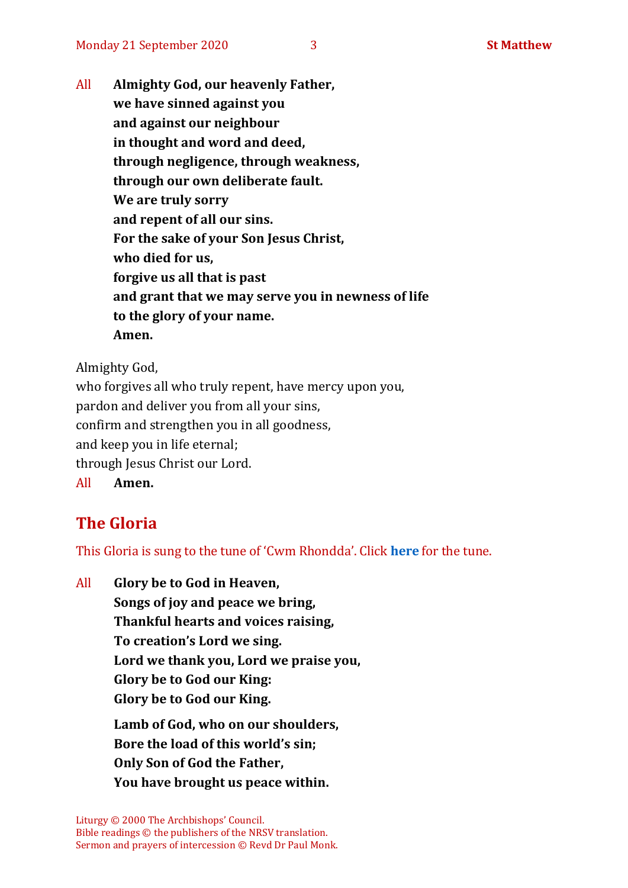All **Almighty God, our heavenly Father, we have sinned against you and against our neighbour in thought and word and deed, through negligence, through weakness, through our own deliberate fault. We are truly sorry and repent of all our sins. For the sake of your Son Jesus Christ, who died for us, forgive us all that is past and grant that we may serve you in newness of life to the glory of your name. Amen.**

Almighty God,

who forgives all who truly repent, have mercy upon you, pardon and deliver you from all your sins, confirm and strengthen you in all goodness, and keep you in life eternal; through Jesus Christ our Lord. All **Amen.**

# **The Gloria**

This Gloria is sung to the tune of 'Cwm Rhondda'. Click **[here](about:blank)** for the tune.

All **Glory be to God in Heaven, Songs of joy and peace we bring, Thankful hearts and voices raising, To creation's Lord we sing. Lord we thank you, Lord we praise you, Glory be to God our King: Glory be to God our King. Lamb of God, who on our shoulders, Bore the load of this world's sin; Only Son of God the Father, You have brought us peace within.**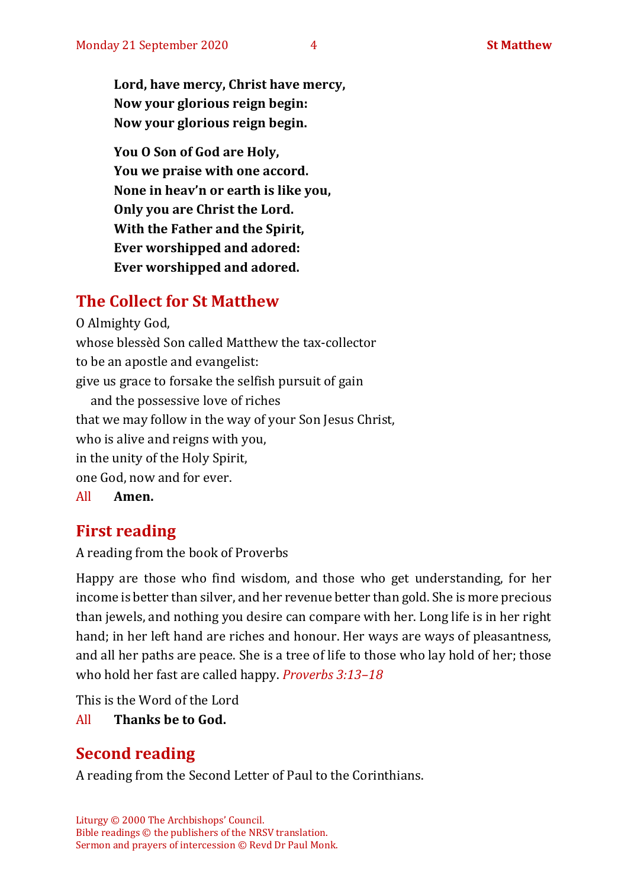**Lord, have mercy, Christ have mercy, Now your glorious reign begin: Now your glorious reign begin.**

**You O Son of God are Holy, You we praise with one accord. None in heav'n or earth is like you, Only you are Christ the Lord. With the Father and the Spirit, Ever worshipped and adored: Ever worshipped and adored.**

# **The Collect for St Matthew**

O Almighty God, whose blessèd Son called Matthew the tax-collector to be an apostle and evangelist: give us grace to forsake the selfish pursuit of gain and the possessive love of riches that we may follow in the way of your Son Jesus Christ, who is alive and reigns with you, in the unity of the Holy Spirit, one God, now and for ever. All **Amen.**

# **First reading**

A reading from the book of Proverbs

Happy are those who find wisdom, and those who get understanding, for her income is better than silver, and her revenue better than gold. She is more precious than jewels, and nothing you desire can compare with her. Long life is in her right hand; in her left hand are riches and honour. Her ways are ways of pleasantness, and all her paths are peace. She is a tree of life to those who lay hold of her; those who hold her fast are called happy. *Proverbs 3:13–18*

This is the Word of the Lord

All **Thanks be to God.**

# **Second reading**

A reading from the Second Letter of Paul to the Corinthians.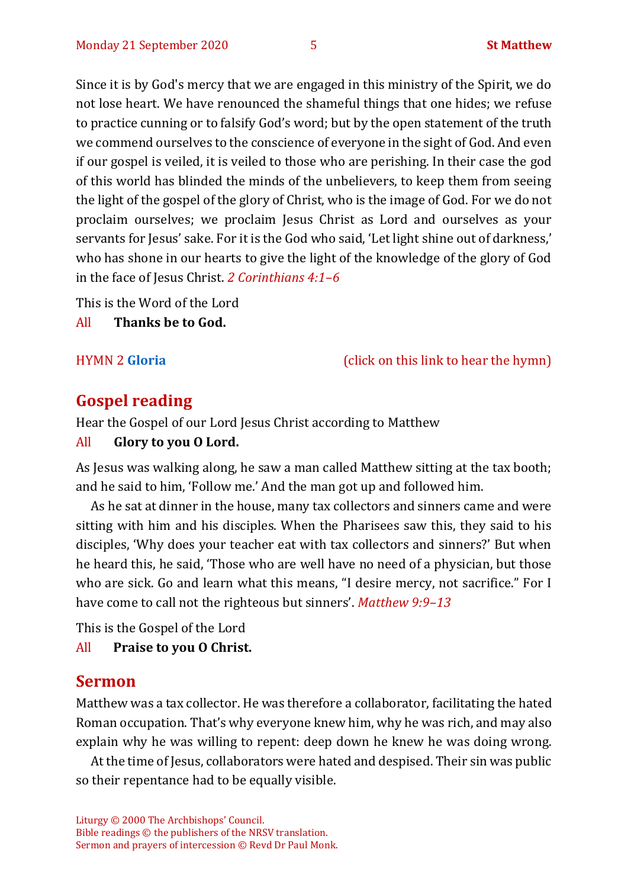Since it is by God's mercy that we are engaged in this ministry of the Spirit, we do not lose heart. We have renounced the shameful things that one hides; we refuse to practice cunning or to falsify God's word; but by the open statement of the truth we commend ourselves to the conscience of everyone in the sight of God. And even if our gospel is veiled, it is veiled to those who are perishing. In their case the god of this world has blinded the minds of the unbelievers, to keep them from seeing the light of the gospel of the glory of Christ, who is the image of God. For we do not proclaim ourselves; we proclaim Jesus Christ as Lord and ourselves as your servants for Jesus' sake. For it is the God who said, 'Let light shine out of darkness,' who has shone in our hearts to give the light of the knowledge of the glory of God in the face of Jesus Christ. *2 Corinthians 4:1–6*

This is the Word of the Lord

All **Thanks be to God.**

HYMN 2 **[Gloria](https://www.youtube.com/watch?v=BI7aNBM7NiI)** (click on this link to hear the hymn)

# **Gospel reading**

Hear the Gospel of our Lord Jesus Christ according to Matthew

#### All **Glory to you O Lord.**

As Jesus was walking along, he saw a man called Matthew sitting at the tax booth; and he said to him, 'Follow me.' And the man got up and followed him.

As he sat at dinner in the house, many tax collectors and sinners came and were sitting with him and his disciples. When the Pharisees saw this, they said to his disciples, 'Why does your teacher eat with tax collectors and sinners?' But when he heard this, he said, 'Those who are well have no need of a physician, but those who are sick. Go and learn what this means, "I desire mercy, not sacrifice." For I have come to call not the righteous but sinners'. *Matthew 9:9–13*

This is the Gospel of the Lord

All **Praise to you O Christ.** 

### **Sermon**

Matthew was a tax collector. He was therefore a collaborator, facilitating the hated Roman occupation. That's why everyone knew him, why he was rich, and may also explain why he was willing to repent: deep down he knew he was doing wrong.

At the time of Jesus, collaborators were hated and despised. Their sin was public so their repentance had to be equally visible.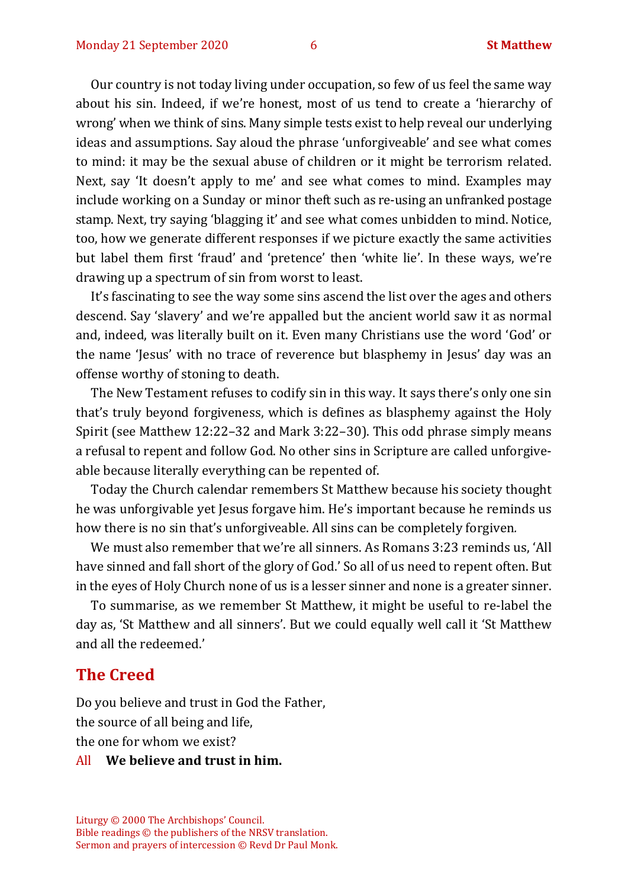Our country is not today living under occupation, so few of us feel the same way about his sin. Indeed, if we're honest, most of us tend to create a 'hierarchy of wrong' when we think of sins. Many simple tests exist to help reveal our underlying ideas and assumptions. Say aloud the phrase 'unforgiveable' and see what comes to mind: it may be the sexual abuse of children or it might be terrorism related. Next, say 'It doesn't apply to me' and see what comes to mind. Examples may include working on a Sunday or minor theft such as re-using an unfranked postage stamp. Next, try saying 'blagging it' and see what comes unbidden to mind. Notice, too, how we generate different responses if we picture exactly the same activities but label them first 'fraud' and 'pretence' then 'white lie'. In these ways, we're drawing up a spectrum of sin from worst to least.

It's fascinating to see the way some sins ascend the list over the ages and others descend. Say 'slavery' and we're appalled but the ancient world saw it as normal and, indeed, was literally built on it. Even many Christians use the word 'God' or the name 'Jesus' with no trace of reverence but blasphemy in Jesus' day was an offense worthy of stoning to death.

The New Testament refuses to codify sin in this way. It says there's only one sin that's truly beyond forgiveness, which is defines as blasphemy against the Holy Spirit (see Matthew 12:22–32 and Mark 3:22–30). This odd phrase simply means a refusal to repent and follow God. No other sins in Scripture are called unforgiveable because literally everything can be repented of.

Today the Church calendar remembers St Matthew because his society thought he was unforgivable yet Jesus forgave him. He's important because he reminds us how there is no sin that's unforgiveable. All sins can be completely forgiven*.*

We must also remember that we're all sinners. As Romans 3:23 reminds us, 'All have sinned and fall short of the glory of God.' So all of us need to repent often. But in the eyes of Holy Church none of us is a lesser sinner and none is a greater sinner.

To summarise, as we remember St Matthew, it might be useful to re-label the day as, 'St Matthew and all sinners'. But we could equally well call it 'St Matthew and all the redeemed.'

#### **The Creed**

Do you believe and trust in God the Father, the source of all being and life, the one for whom we exist?

#### All **We believe and trust in him.**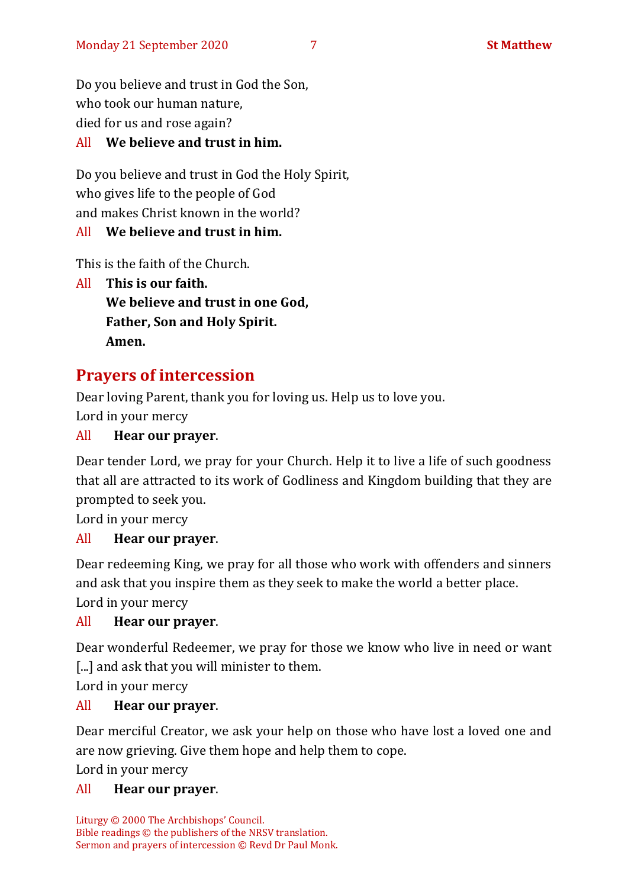Do you believe and trust in God the Son, who took our human nature, died for us and rose again?

### All **We believe and trust in him.**

Do you believe and trust in God the Holy Spirit, who gives life to the people of God and makes Christ known in the world?

#### All **We believe and trust in him.**

This is the faith of the Church.

All **This is our faith. We believe and trust in one God, Father, Son and Holy Spirit. Amen.**

# **Prayers of intercession**

Dear loving Parent, thank you for loving us. Help us to love you. Lord in your mercy

#### All **Hear our prayer**.

Dear tender Lord, we pray for your Church. Help it to live a life of such goodness that all are attracted to its work of Godliness and Kingdom building that they are prompted to seek you.

Lord in your mercy

#### All **Hear our prayer**.

Dear redeeming King, we pray for all those who work with offenders and sinners and ask that you inspire them as they seek to make the world a better place.

Lord in your mercy

#### All **Hear our prayer**.

Dear wonderful Redeemer, we pray for those we know who live in need or want [...] and ask that you will minister to them.

Lord in your mercy

#### All **Hear our prayer**.

Dear merciful Creator, we ask your help on those who have lost a loved one and are now grieving. Give them hope and help them to cope.

Lord in your mercy

#### All **Hear our prayer**.

Liturgy © 2000 The Archbishops' Council. Bible readings © the publishers of the NRSV translation. Sermon and prayers of intercession © Revd Dr Paul Monk.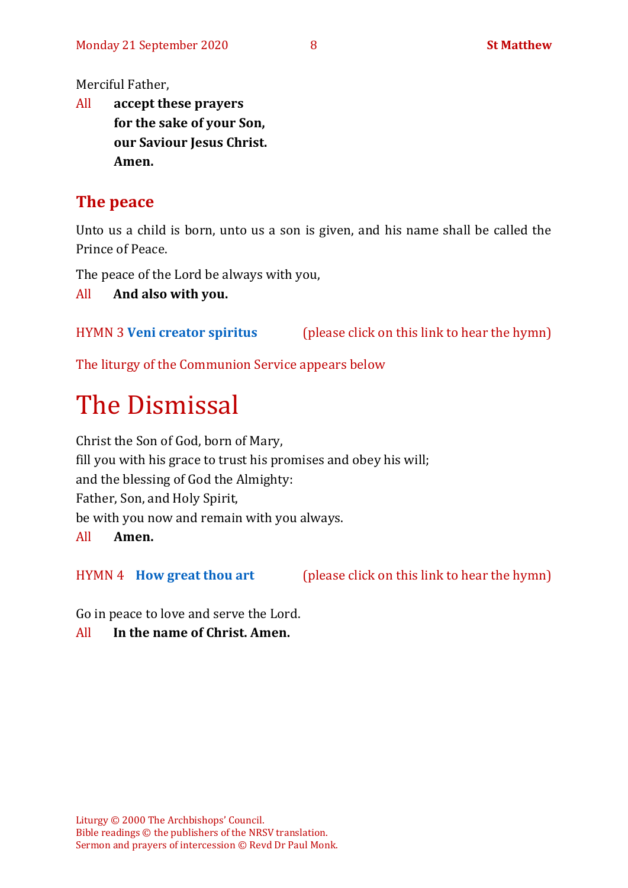Merciful Father,

All **accept these prayers for the sake of your Son, our Saviour Jesus Christ. Amen.**

# **The peace**

Unto us a child is born, unto us a son is given, and his name shall be called the Prince of Peace.

The peace of the Lord be always with you,

All **And also with you.**

HYMN 3 **[Veni creator](https://www.youtube.com/watch?v=HEKuxUOPzk8) spiritus** (please click on this link to hear the hymn)

The liturgy of the Communion Service appears below

# The Dismissal

Christ the Son of God, born of Mary, fill you with his grace to trust his promises and obey his will; and the blessing of God the Almighty: Father, Son, and Holy Spirit, be with you now and remain with you always. All **Amen.**

HYMN 4 **[How great thou](https://www.youtube.com/watch?v=CHV6BjuQOZQ) art** (please click on this link to hear the hymn)

Go in peace to love and serve the Lord.

All **In the name of Christ. Amen.**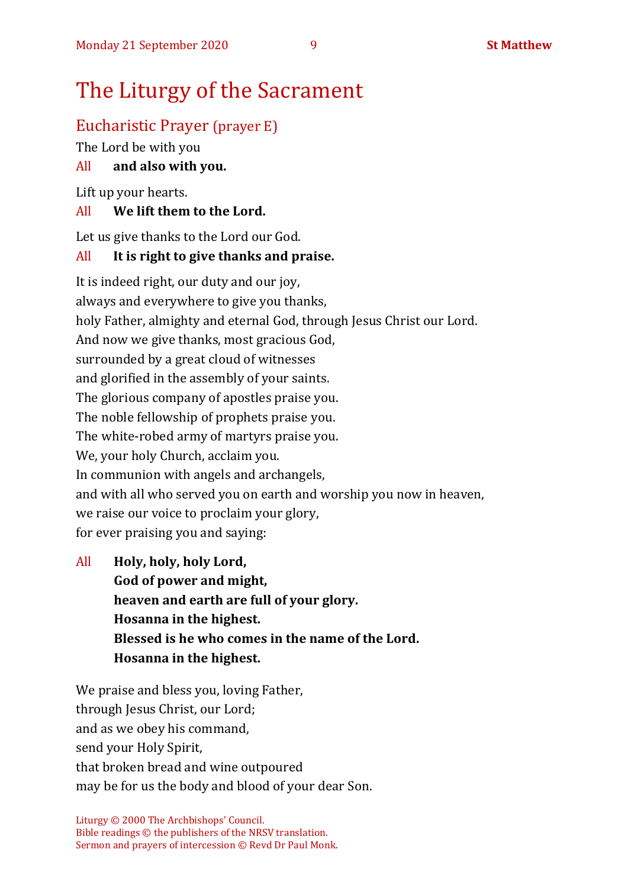# The Liturgy of the Sacrament

# Eucharistic Prayer (prayer E)

The Lord be with you

# All **and also with you.**

Lift up your hearts.

# All **We lift them to the Lord.**

Let us give thanks to the Lord our God.

# All **It is right to give thanks and praise.**

It is indeed right, our duty and our joy, always and everywhere to give you thanks, holy Father, almighty and eternal God, through Jesus Christ our Lord. And now we give thanks, most gracious God, surrounded by a great cloud of witnesses and glorified in the assembly of your saints. The glorious company of apostles praise you. The noble fellowship of prophets praise you. The white-robed army of martyrs praise you. We, your holy Church, acclaim you. In communion with angels and archangels, and with all who served you on earth and worship you now in heaven, we raise our voice to proclaim your glory, for ever praising you and saying:

All **Holy, holy, holy Lord, God of power and might, heaven and earth are full of your glory. Hosanna in the highest. Blessed is he who comes in the name of the Lord. Hosanna in the highest.**

We praise and bless you, loving Father, through Jesus Christ, our Lord; and as we obey his command, send your Holy Spirit, that broken bread and wine outpoured may be for us the body and blood of your dear Son.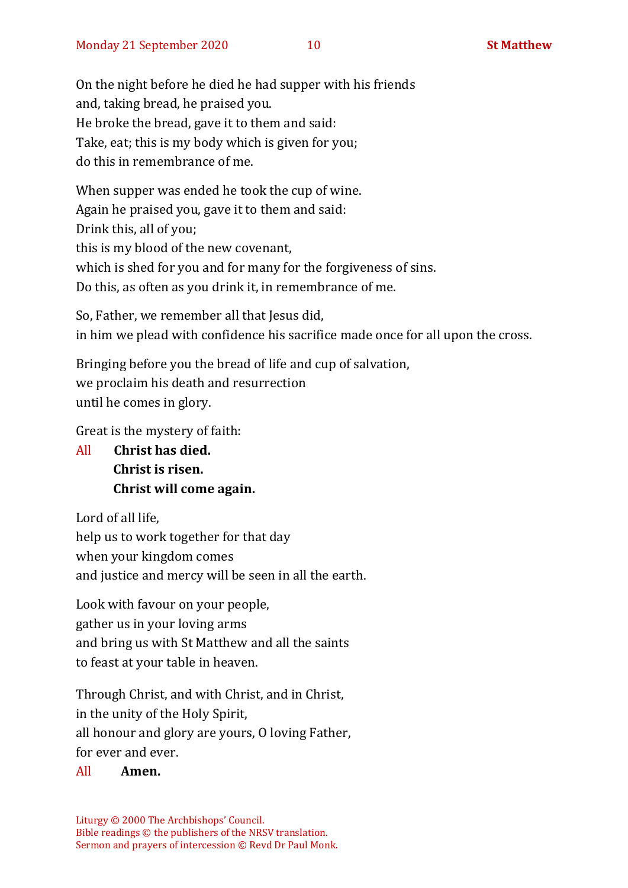On the night before he died he had supper with his friends and, taking bread, he praised you. He broke the bread, gave it to them and said: Take, eat; this is my body which is given for you; do this in remembrance of me.

When supper was ended he took the cup of wine. Again he praised you, gave it to them and said: Drink this, all of you; this is my blood of the new covenant, which is shed for you and for many for the forgiveness of sins. Do this, as often as you drink it, in remembrance of me.

So, Father, we remember all that Jesus did, in him we plead with confidence his sacrifice made once for all upon the cross.

Bringing before you the bread of life and cup of salvation, we proclaim his death and resurrection until he comes in glory.

Great is the mystery of faith:

All **Christ has died. Christ is risen. Christ will come again.**

Lord of all life, help us to work together for that day when your kingdom comes and justice and mercy will be seen in all the earth.

Look with favour on your people, gather us in your loving arms and bring us with St Matthew and all the saints to feast at your table in heaven.

Through Christ, and with Christ, and in Christ, in the unity of the Holy Spirit, all honour and glory are yours, O loving Father, for ever and ever.

### All **Amen.**

Liturgy © 2000 The Archbishops' Council. Bible readings © the publishers of the NRSV translation. Sermon and prayers of intercession © Revd Dr Paul Monk.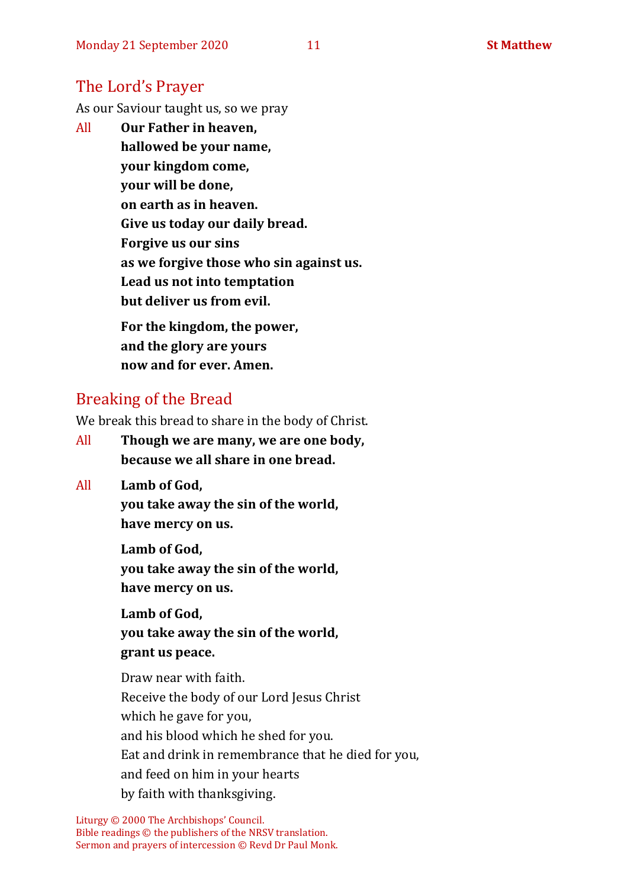# The Lord's Prayer

As our Saviour taught us, so we pray

All **Our Father in heaven, hallowed be your name, your kingdom come, your will be done, on earth as in heaven. Give us today our daily bread. Forgive us our sins as we forgive those who sin against us. Lead us not into temptation but deliver us from evil. For the kingdom, the power,** 

**and the glory are yours now and for ever. Amen.**

# Breaking of the Bread

We break this bread to share in the body of Christ.

- All **Though we are many, we are one body, because we all share in one bread.**
- All **Lamb of God,**

**you take away the sin of the world, have mercy on us.**

**Lamb of God, you take away the sin of the world, have mercy on us.**

**Lamb of God, you take away the sin of the world, grant us peace.**

Draw near with faith. Receive the body of our Lord Jesus Christ which he gave for you, and his blood which he shed for you. Eat and drink in remembrance that he died for you, and feed on him in your hearts by faith with thanksgiving.